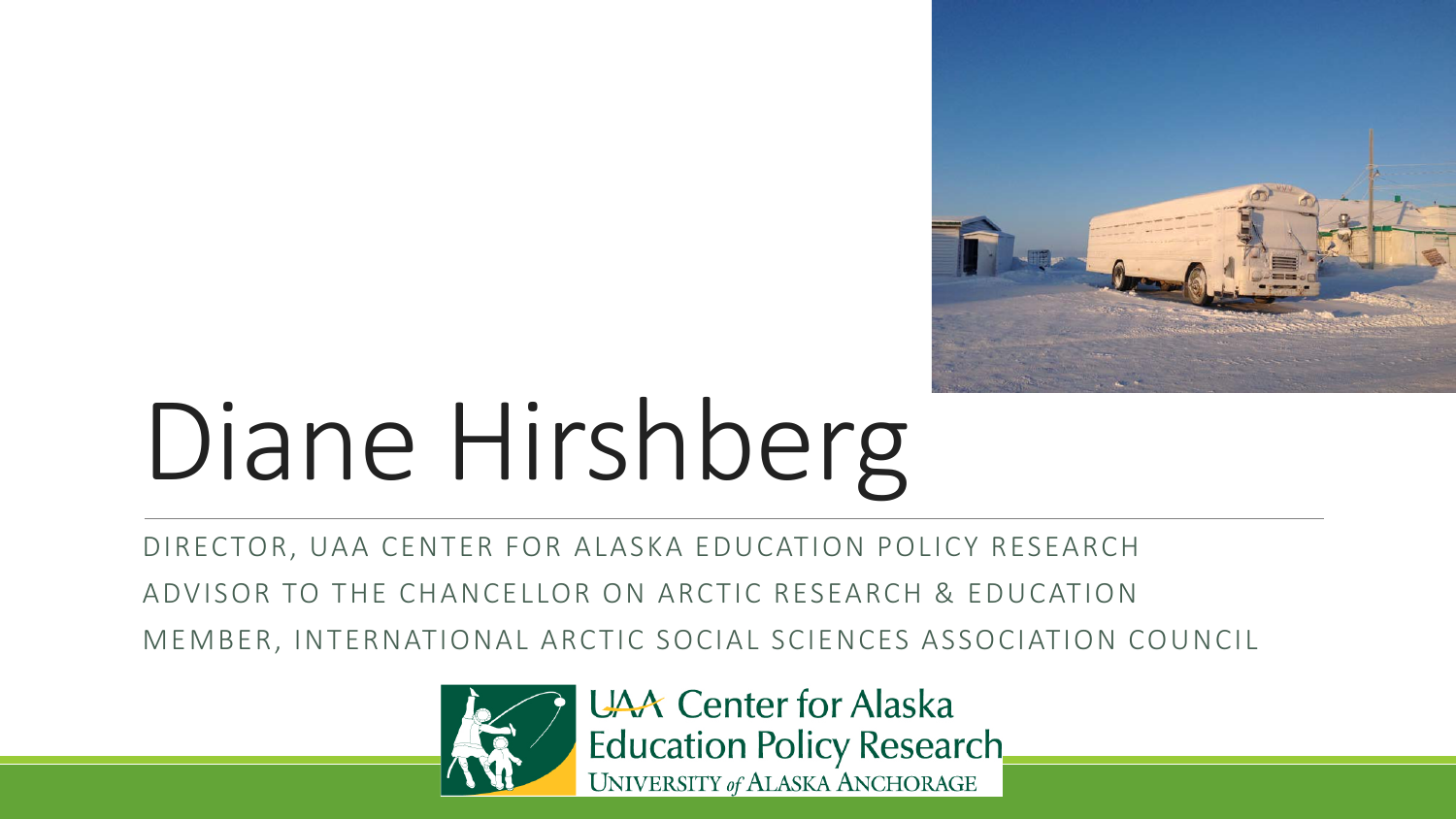

## Diane Hirshberg

DIRECTOR, UAA CENTER FOR ALASKA EDUCATION POLICY RESEARCH

ADVISOR TO THE CHANCELLOR ON ARCTIC RESEARCH & EDUCATION

MEMBER, INTERNATIONAL ARCTIC SOCIAL SCIENCES ASSOCIATION COUNCIL



**UAA** Center for Alaska Education Policy Research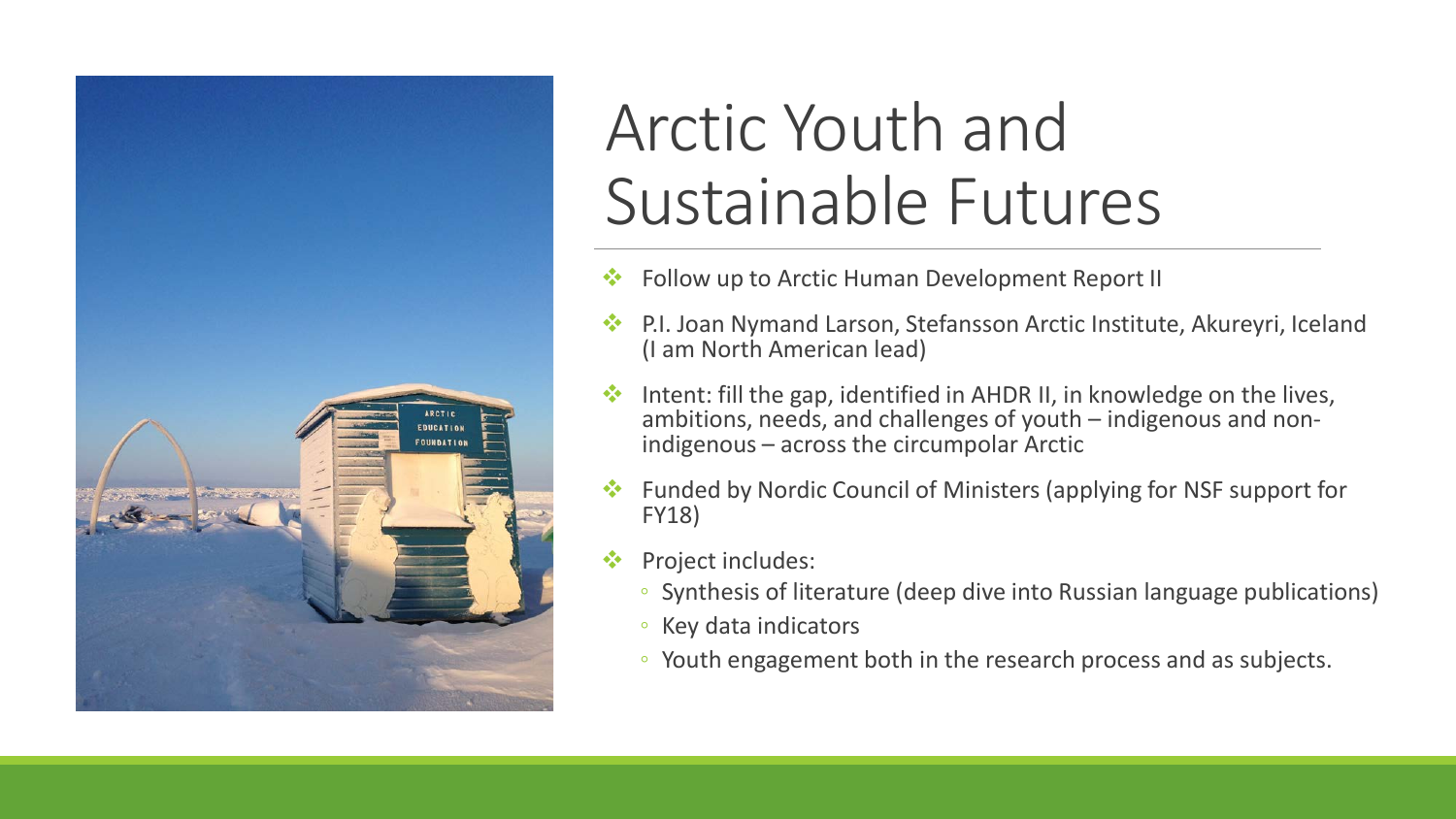

## Arctic Youth and Sustainable Futures

- Follow up to Arctic Human Development Report II
- P.I. Joan Nymand Larson, Stefansson Arctic Institute, Akureyri, Iceland (I am North American lead)
- Intent: fill the gap, identified in AHDR II, in knowledge on the lives, ambitions, needs, and challenges of youth – indigenous and non- indigenous – across the circumpolar Arctic
- Funded by Nordic Council of Ministers (applying for NSF support for FY18)
- Project includes:
	- Synthesis of literature (deep dive into Russian language publications)
	- Key data indicators
	- Youth engagement both in the research process and as subjects.